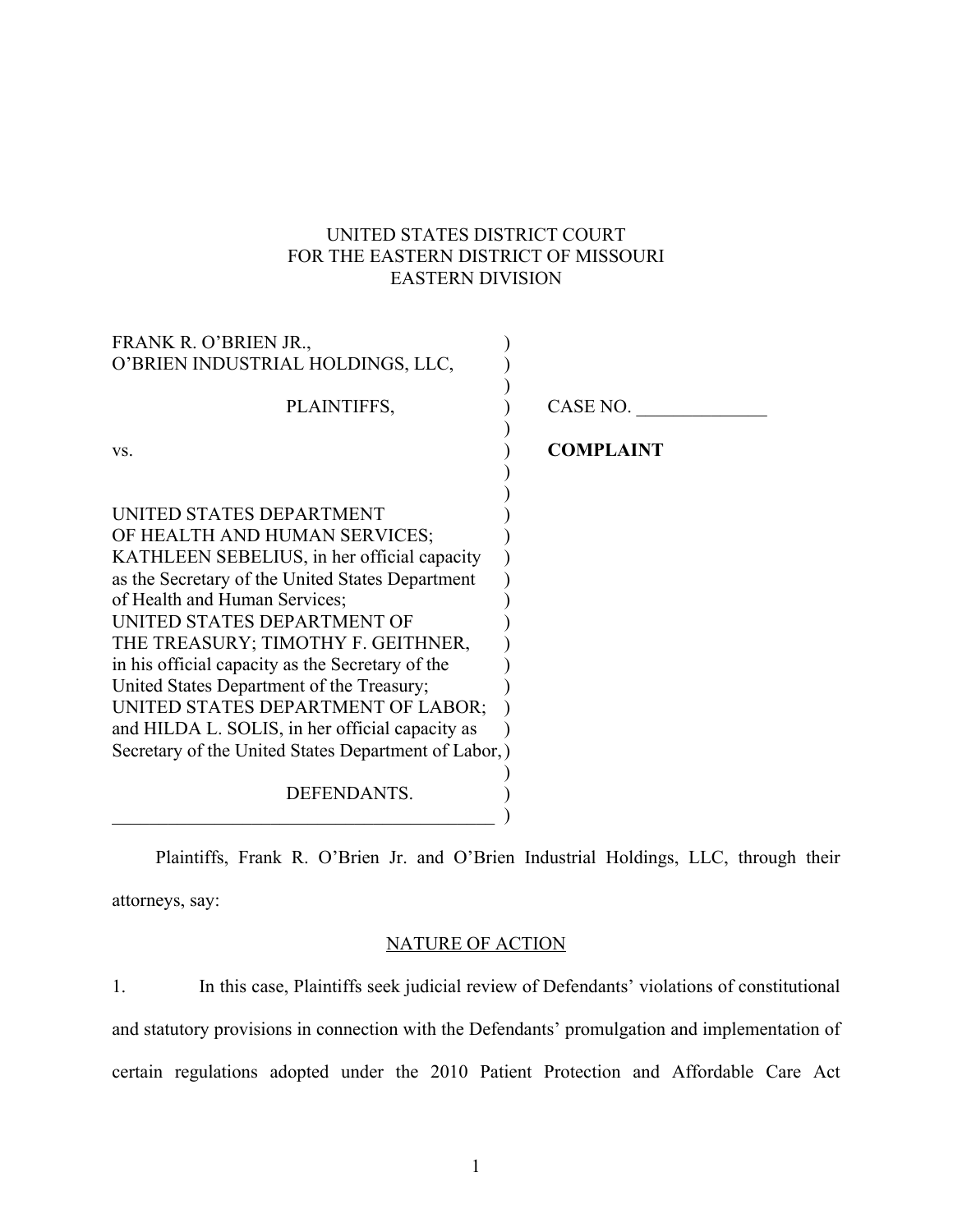# UNITED STATES DISTRICT COURT FOR THE EASTERN DISTRICT OF MISSOURI EASTERN DIVISION

| FRANK R. O'BRIEN JR.,                                |                  |
|------------------------------------------------------|------------------|
| O'BRIEN INDUSTRIAL HOLDINGS, LLC,                    |                  |
| PLAINTIFFS,                                          | CASE NO.         |
| VS.                                                  | <b>COMPLAINT</b> |
|                                                      |                  |
| UNITED STATES DEPARTMENT                             |                  |
| OF HEALTH AND HUMAN SERVICES;                        |                  |
| KATHLEEN SEBELIUS, in her official capacity          |                  |
| as the Secretary of the United States Department     |                  |
| of Health and Human Services;                        |                  |
| UNITED STATES DEPARTMENT OF                          |                  |
| THE TREASURY; TIMOTHY F. GEITHNER,                   |                  |
| in his official capacity as the Secretary of the     |                  |
| United States Department of the Treasury;            |                  |
| UNITED STATES DEPARTMENT OF LABOR;                   |                  |
| and HILDA L. SOLIS, in her official capacity as      |                  |
| Secretary of the United States Department of Labor,) |                  |
| DEFENDANTS.                                          |                  |

Plaintiffs, Frank R. O'Brien Jr. and O'Brien Industrial Holdings, LLC, through their attorneys, say:

# NATURE OF ACTION

1. In this case, Plaintiffs seek judicial review of Defendants' violations of constitutional and statutory provisions in connection with the Defendants' promulgation and implementation of certain regulations adopted under the 2010 Patient Protection and Affordable Care Act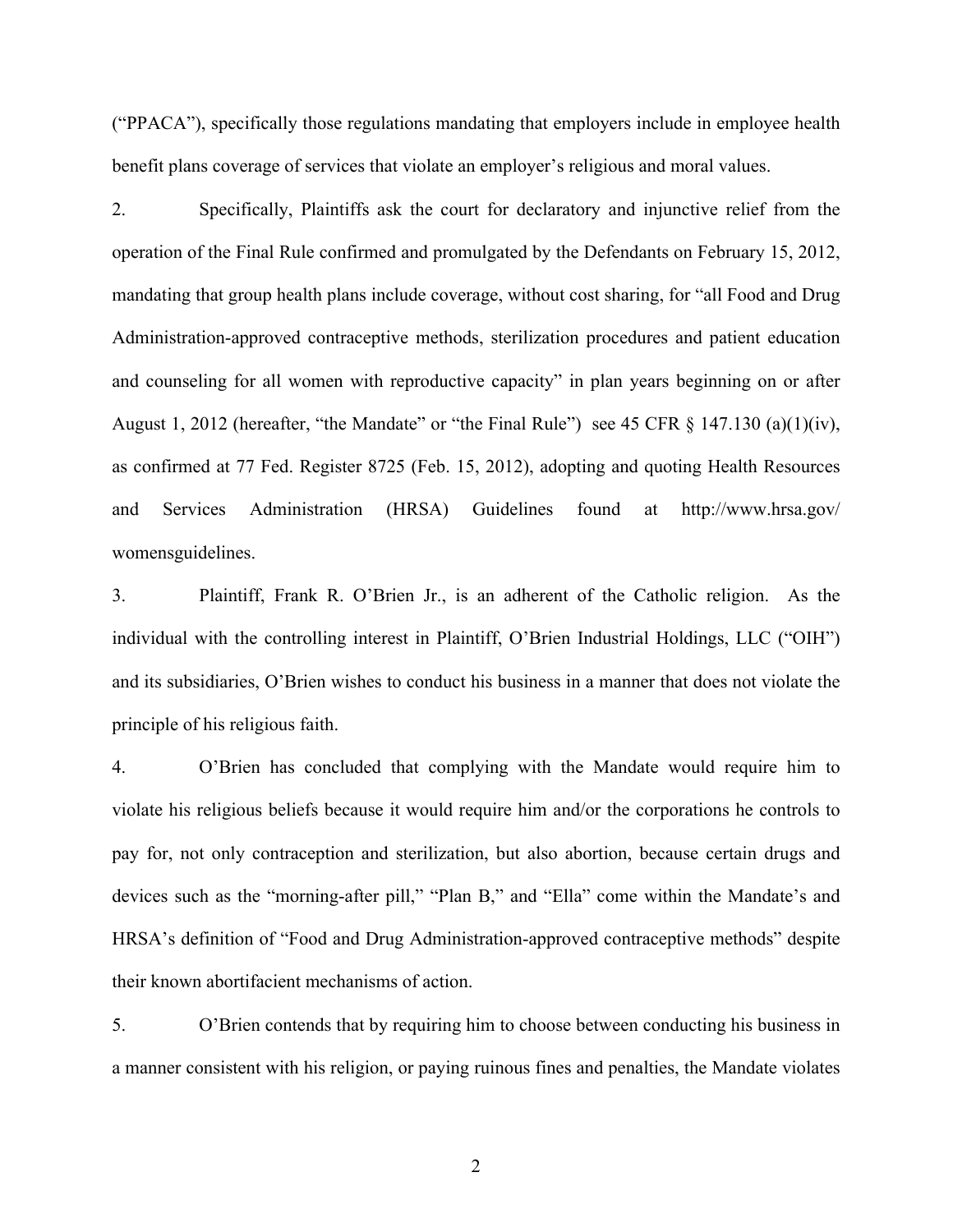("PPACA"), specifically those regulations mandating that employers include in employee health benefit plans coverage of services that violate an employer's religious and moral values.

2. Specifically, Plaintiffs ask the court for declaratory and injunctive relief from the operation of the Final Rule confirmed and promulgated by the Defendants on February 15, 2012, mandating that group health plans include coverage, without cost sharing, for "all Food and Drug Administration-approved contraceptive methods, sterilization procedures and patient education and counseling for all women with reproductive capacity" in plan years beginning on or after August 1, 2012 (hereafter, "the Mandate" or "the Final Rule") see 45 CFR § 147.130 (a)(1)(iv), as confirmed at 77 Fed. Register 8725 (Feb. 15, 2012), adopting and quoting Health Resources and Services Administration (HRSA) Guidelines found at http://www.hrsa.gov/ womensguidelines.

3. Plaintiff, Frank R. O'Brien Jr., is an adherent of the Catholic religion. As the individual with the controlling interest in Plaintiff, O'Brien Industrial Holdings, LLC ("OIH") and its subsidiaries, O'Brien wishes to conduct his business in a manner that does not violate the principle of his religious faith.

4. O'Brien has concluded that complying with the Mandate would require him to violate his religious beliefs because it would require him and/or the corporations he controls to pay for, not only contraception and sterilization, but also abortion, because certain drugs and devices such as the "morning-after pill," "Plan B," and "Ella" come within the Mandate's and HRSA's definition of "Food and Drug Administration-approved contraceptive methods" despite their known abortifacient mechanisms of action.

5. O'Brien contends that by requiring him to choose between conducting his business in a manner consistent with his religion, or paying ruinous fines and penalties, the Mandate violates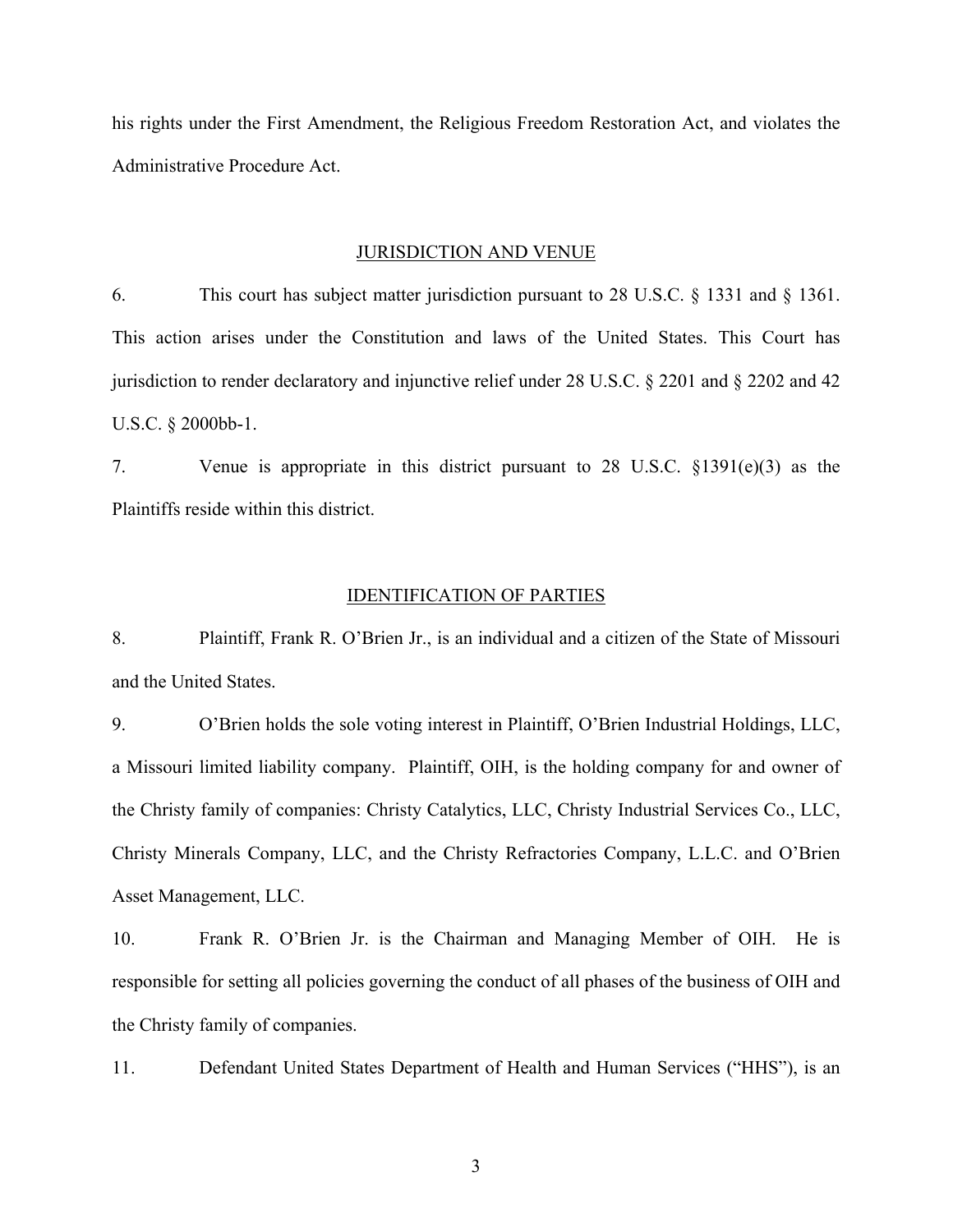his rights under the First Amendment, the Religious Freedom Restoration Act, and violates the Administrative Procedure Act.

#### JURISDICTION AND VENUE

6. This court has subject matter jurisdiction pursuant to 28 U.S.C. § 1331 and § 1361. This action arises under the Constitution and laws of the United States. This Court has jurisdiction to render declaratory and injunctive relief under 28 U.S.C. § 2201 and § 2202 and 42 U.S.C. § 2000bb-1.

7. Venue is appropriate in this district pursuant to 28 U.S.C. §1391(e)(3) as the Plaintiffs reside within this district.

### IDENTIFICATION OF PARTIES

8. Plaintiff, Frank R. O'Brien Jr., is an individual and a citizen of the State of Missouri and the United States.

9. O'Brien holds the sole voting interest in Plaintiff, O'Brien Industrial Holdings, LLC, a Missouri limited liability company. Plaintiff, OIH, is the holding company for and owner of the Christy family of companies: Christy Catalytics, LLC, Christy Industrial Services Co., LLC, Christy Minerals Company, LLC, and the Christy Refractories Company, L.L.C. and O'Brien Asset Management, LLC.

10. Frank R. O'Brien Jr. is the Chairman and Managing Member of OIH. He is responsible for setting all policies governing the conduct of all phases of the business of OIH and the Christy family of companies.

11. Defendant United States Department of Health and Human Services ("HHS"), is an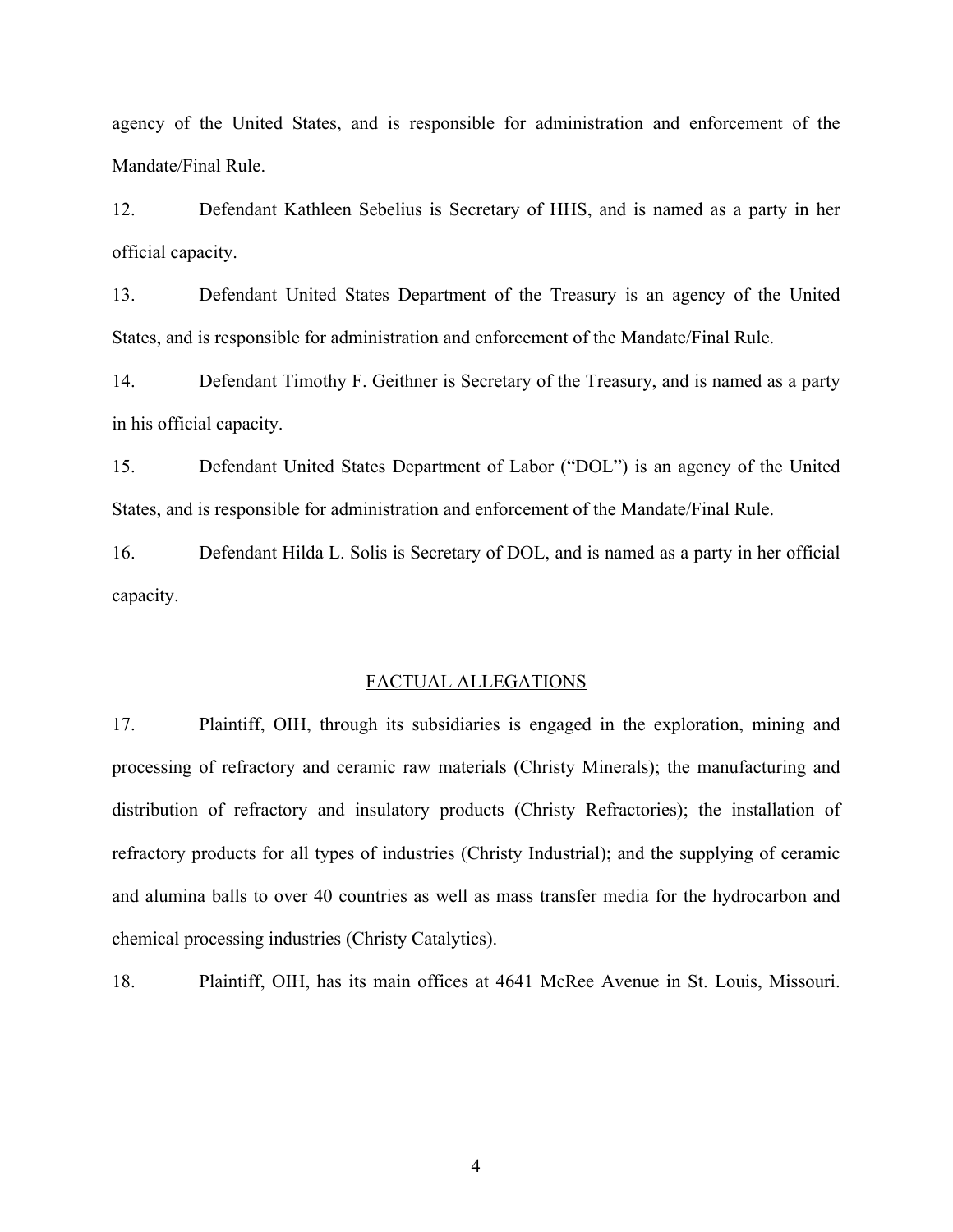agency of the United States, and is responsible for administration and enforcement of the Mandate/Final Rule.

12. Defendant Kathleen Sebelius is Secretary of HHS, and is named as a party in her official capacity.

13. Defendant United States Department of the Treasury is an agency of the United States, and is responsible for administration and enforcement of the Mandate/Final Rule.

14. Defendant Timothy F. Geithner is Secretary of the Treasury, and is named as a party in his official capacity.

15. Defendant United States Department of Labor ("DOL") is an agency of the United States, and is responsible for administration and enforcement of the Mandate/Final Rule.

16. Defendant Hilda L. Solis is Secretary of DOL, and is named as a party in her official capacity.

#### FACTUAL ALLEGATIONS

17. Plaintiff, OIH, through its subsidiaries is engaged in the exploration, mining and processing of refractory and ceramic raw materials (Christy Minerals); the manufacturing and distribution of refractory and insulatory products (Christy Refractories); the installation of refractory products for all types of industries (Christy Industrial); and the supplying of ceramic and alumina balls to over 40 countries as well as mass transfer media for the hydrocarbon and chemical processing industries (Christy Catalytics).

18. Plaintiff, OIH, has its main offices at 4641 McRee Avenue in St. Louis, Missouri.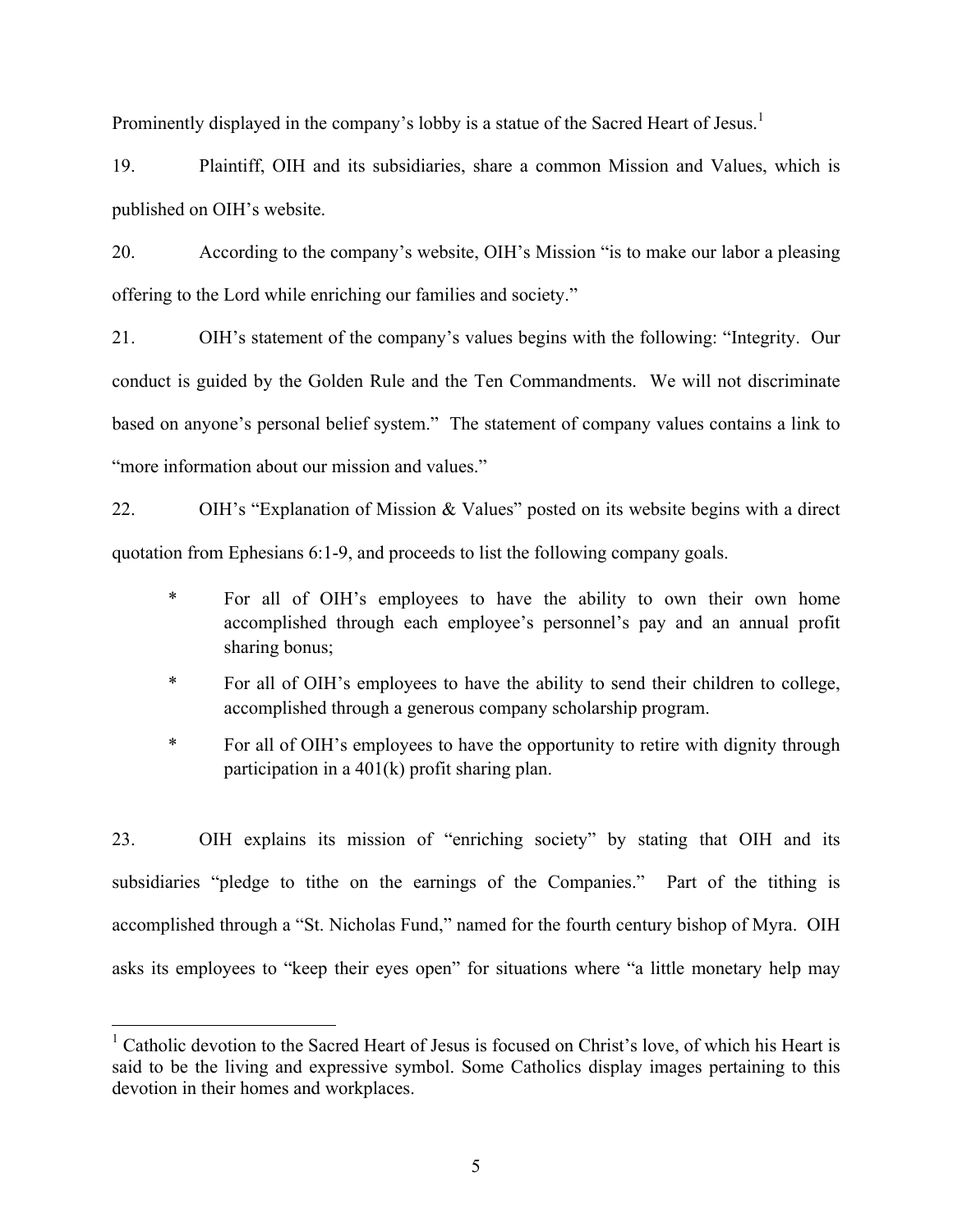Prominently displayed in the company's lobby is a statue of the Sacred Heart of Jesus.<sup>1</sup>

19. Plaintiff, OIH and its subsidiaries, share a common Mission and Values, which is published on OIH's website.

20. According to the company's website, OIH's Mission "is to make our labor a pleasing offering to the Lord while enriching our families and society."

21. OIH's statement of the company's values begins with the following: "Integrity.Our conduct is guided by the Golden Rule and the Ten Commandments. We will not discriminate based on anyone's personal belief system." The statement of company values contains a link to "more information about our mission and values."

22. OIH's "Explanation of Mission & Values" posted on its website begins with a direct quotation from Ephesians 6:1-9, and proceeds to list the following company goals.

- \* For all of OIH's employees to have the ability to own their own home accomplished through each employee's personnel's pay and an annual profit sharing bonus;
- \* For all of OIH's employees to have the ability to send their children to college, accomplished through a generous company scholarship program.
- \* For all of OIH's employees to have the opportunity to retire with dignity through participation in a 401(k) profit sharing plan.

23. OIH explains its mission of "enriching society" by stating that OIH and its subsidiaries "pledge to tithe on the earnings of the Companies." Part of the tithing is accomplished through a "St. Nicholas Fund," named for the fourth century bishop of Myra. OIH asks its employees to "keep their eyes open" for situations where "a little monetary help may

<sup>&</sup>lt;sup>1</sup> Catholic devotion to the Sacred Heart of Jesus is focused on Christ's love, of which his Heart is said to be the living and expressive symbol. Some Catholics display images pertaining to this devotion in their homes and workplaces.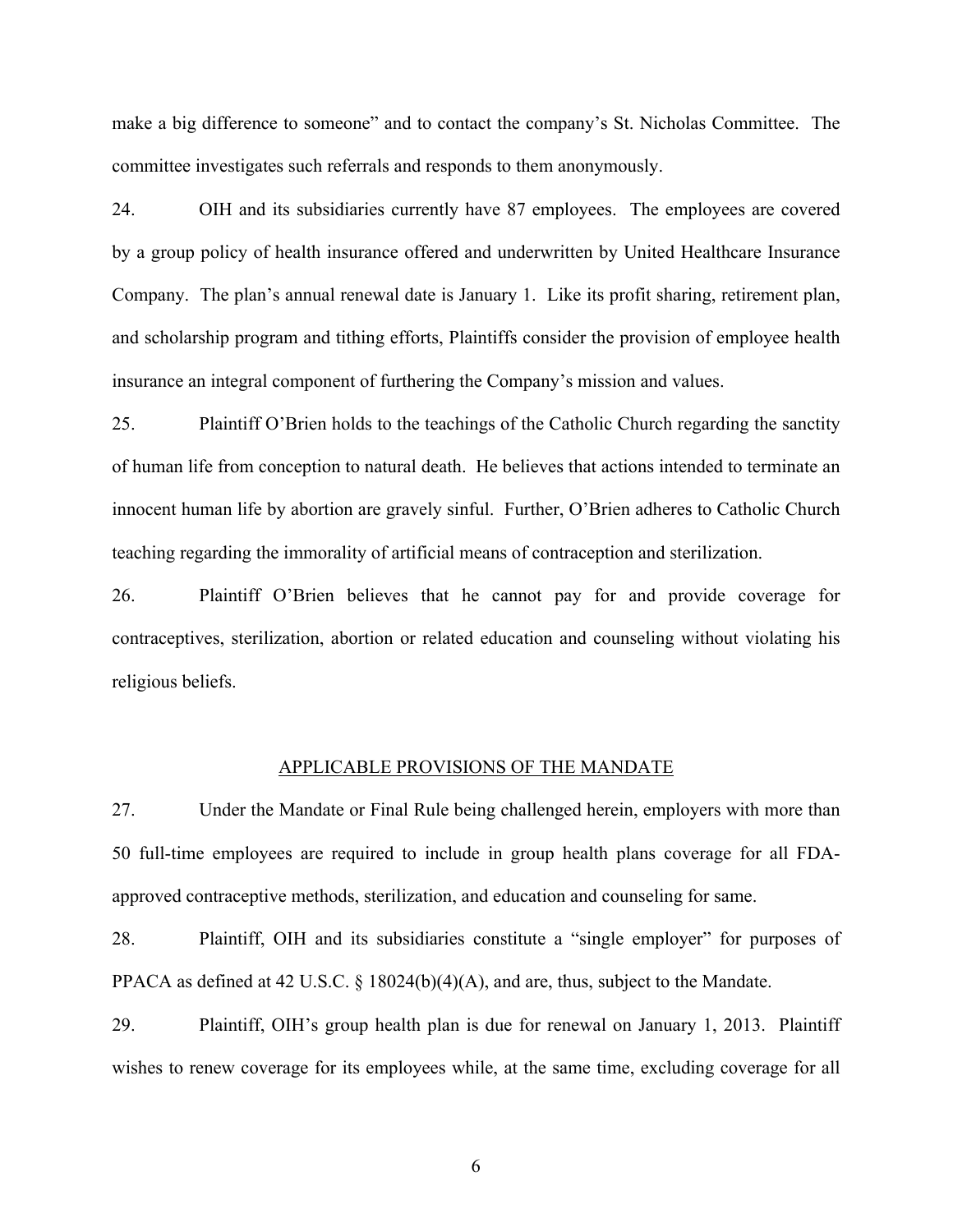make a big difference to someone" and to contact the company's St. Nicholas Committee. The committee investigates such referrals and responds to them anonymously.

24. OIH and its subsidiaries currently have 87 employees. The employees are covered by a group policy of health insurance offered and underwritten by United Healthcare Insurance Company. The plan's annual renewal date is January 1. Like its profit sharing, retirement plan, and scholarship program and tithing efforts, Plaintiffs consider the provision of employee health insurance an integral component of furthering the Company's mission and values.

25. Plaintiff O'Brien holds to the teachings of the Catholic Church regarding the sanctity of human life from conception to natural death. He believes that actions intended to terminate an innocent human life by abortion are gravely sinful. Further, O'Brien adheres to Catholic Church teaching regarding the immorality of artificial means of contraception and sterilization.

26. Plaintiff O'Brien believes that he cannot pay for and provide coverage for contraceptives, sterilization, abortion or related education and counseling without violating his religious beliefs.

#### APPLICABLE PROVISIONS OF THE MANDATE

27. Under the Mandate or Final Rule being challenged herein, employers with more than 50 full-time employees are required to include in group health plans coverage for all FDAapproved contraceptive methods, sterilization, and education and counseling for same.

28. Plaintiff, OIH and its subsidiaries constitute a "single employer" for purposes of PPACA as defined at 42 U.S.C. § 18024(b)(4)(A), and are, thus, subject to the Mandate.

29. Plaintiff, OIH's group health plan is due for renewal on January 1, 2013. Plaintiff wishes to renew coverage for its employees while, at the same time, excluding coverage for all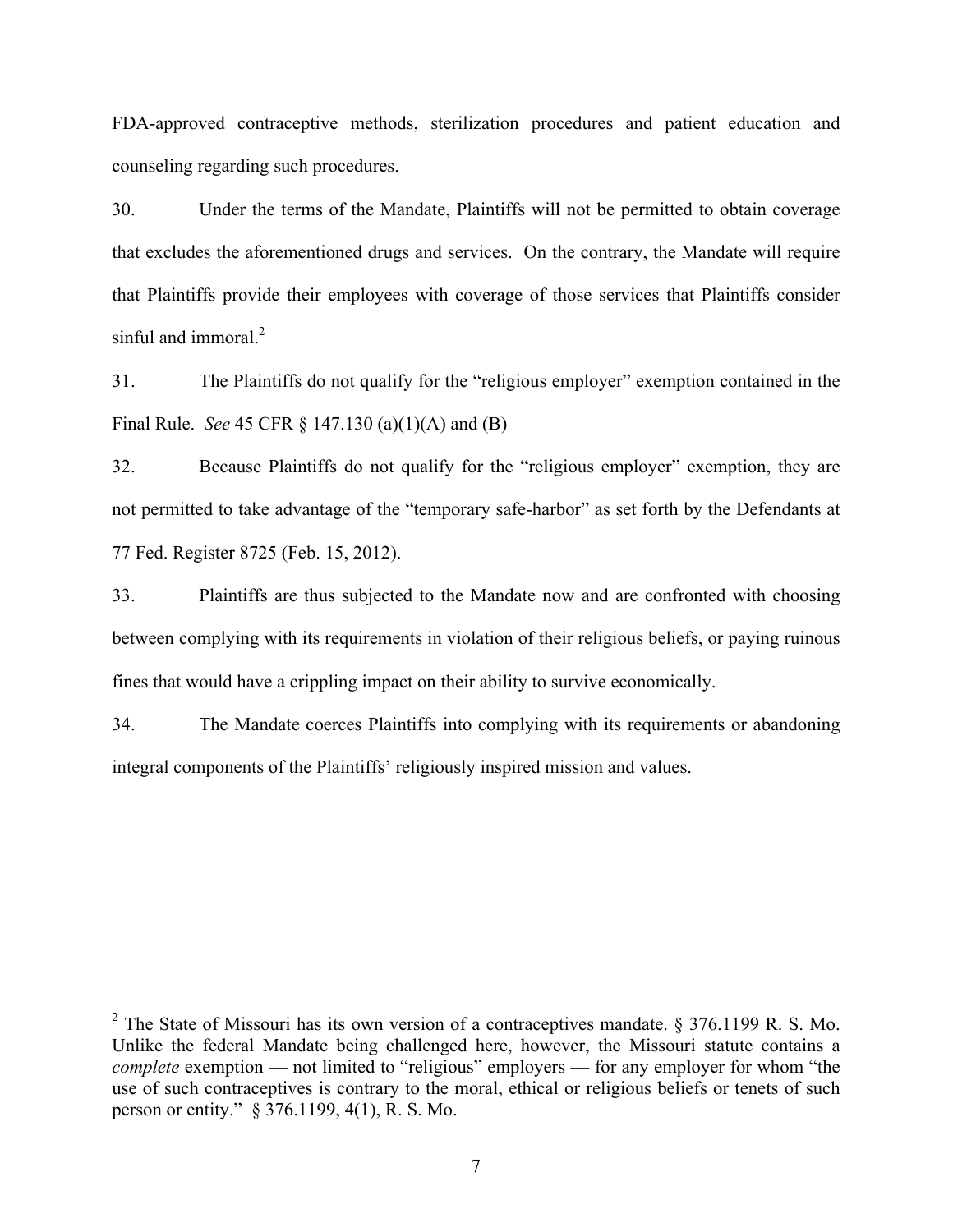FDA-approved contraceptive methods, sterilization procedures and patient education and counseling regarding such procedures.

30. Under the terms of the Mandate, Plaintiffs will not be permitted to obtain coverage that excludes the aforementioned drugs and services. On the contrary, the Mandate will require that Plaintiffs provide their employees with coverage of those services that Plaintiffs consider sinful and immoral $<sup>2</sup>$ </sup>

31. The Plaintiffs do not qualify for the "religious employer" exemption contained in the Final Rule. *See* 45 CFR § 147.130 (a)(1)(A) and (B)

32. Because Plaintiffs do not qualify for the "religious employer" exemption, they are not permitted to take advantage of the "temporary safe-harbor" as set forth by the Defendants at 77 Fed. Register 8725 (Feb. 15, 2012).

33. Plaintiffs are thus subjected to the Mandate now and are confronted with choosing between complying with its requirements in violation of their religious beliefs, or paying ruinous fines that would have a crippling impact on their ability to survive economically.

34. The Mandate coerces Plaintiffs into complying with its requirements or abandoning integral components of the Plaintiffs' religiously inspired mission and values.

<sup>&</sup>lt;sup>2</sup> The State of Missouri has its own version of a contraceptives mandate. § 376.1199 R. S. Mo. Unlike the federal Mandate being challenged here, however, the Missouri statute contains a *complete* exemption — not limited to "religious" employers — for any employer for whom "the use of such contraceptives is contrary to the moral, ethical or religious beliefs or tenets of such person or entity." § 376.1199, 4(1), R. S. Mo.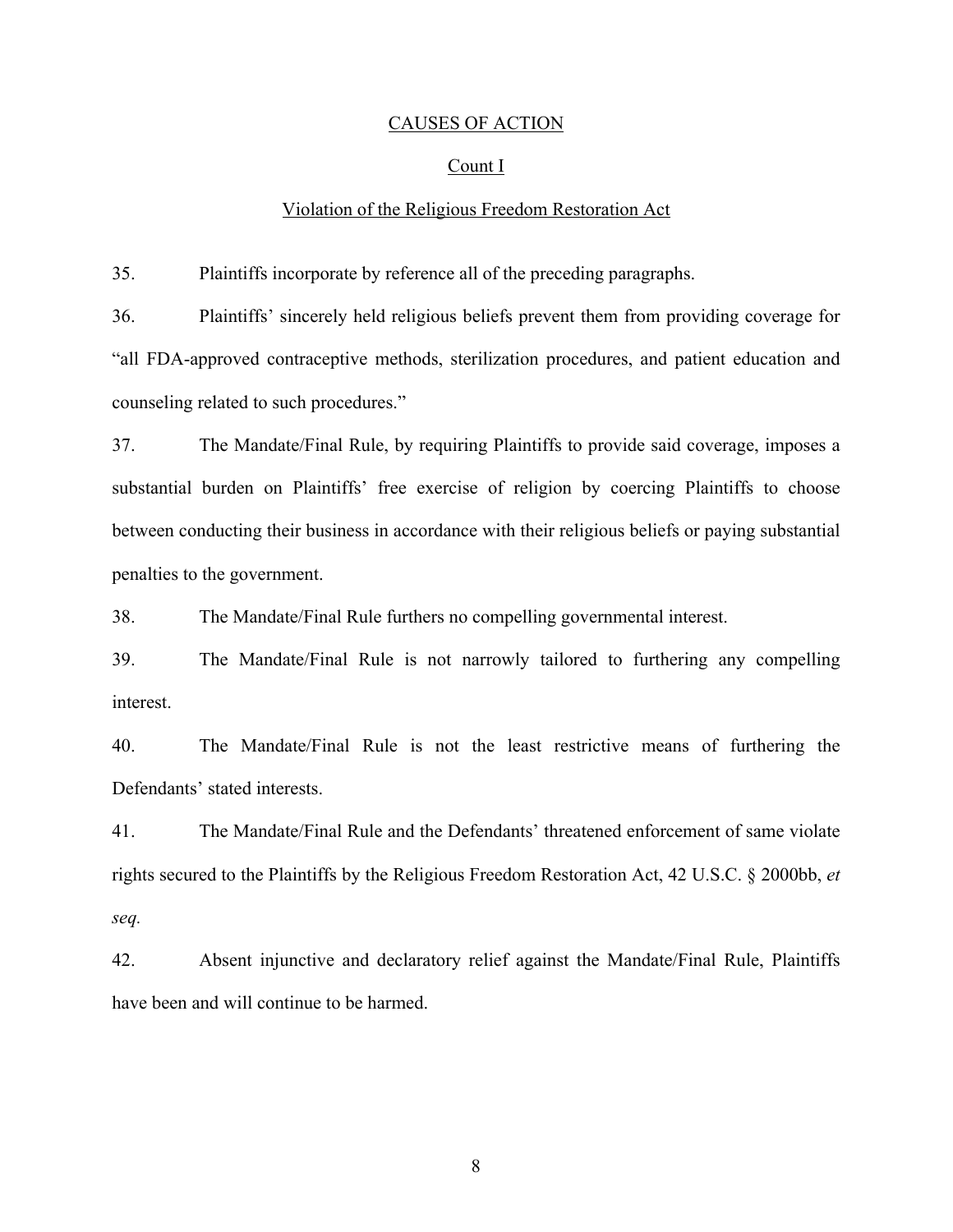### CAUSES OF ACTION

### Count I

# Violation of the Religious Freedom Restoration Act

35. Plaintiffs incorporate by reference all of the preceding paragraphs.

36. Plaintiffs' sincerely held religious beliefs prevent them from providing coverage for "all FDA-approved contraceptive methods, sterilization procedures, and patient education and counseling related to such procedures."

37. The Mandate/Final Rule, by requiring Plaintiffs to provide said coverage, imposes a substantial burden on Plaintiffs' free exercise of religion by coercing Plaintiffs to choose between conducting their business in accordance with their religious beliefs or paying substantial penalties to the government.

38. The Mandate/Final Rule furthers no compelling governmental interest.

39. The Mandate/Final Rule is not narrowly tailored to furthering any compelling interest.

40. The Mandate/Final Rule is not the least restrictive means of furthering the Defendants' stated interests.

41. The Mandate/Final Rule and the Defendants' threatened enforcement of same violate rights secured to the Plaintiffs by the Religious Freedom Restoration Act, 42 U.S.C. § 2000bb, *et seq.*

42. Absent injunctive and declaratory relief against the Mandate/Final Rule, Plaintiffs have been and will continue to be harmed.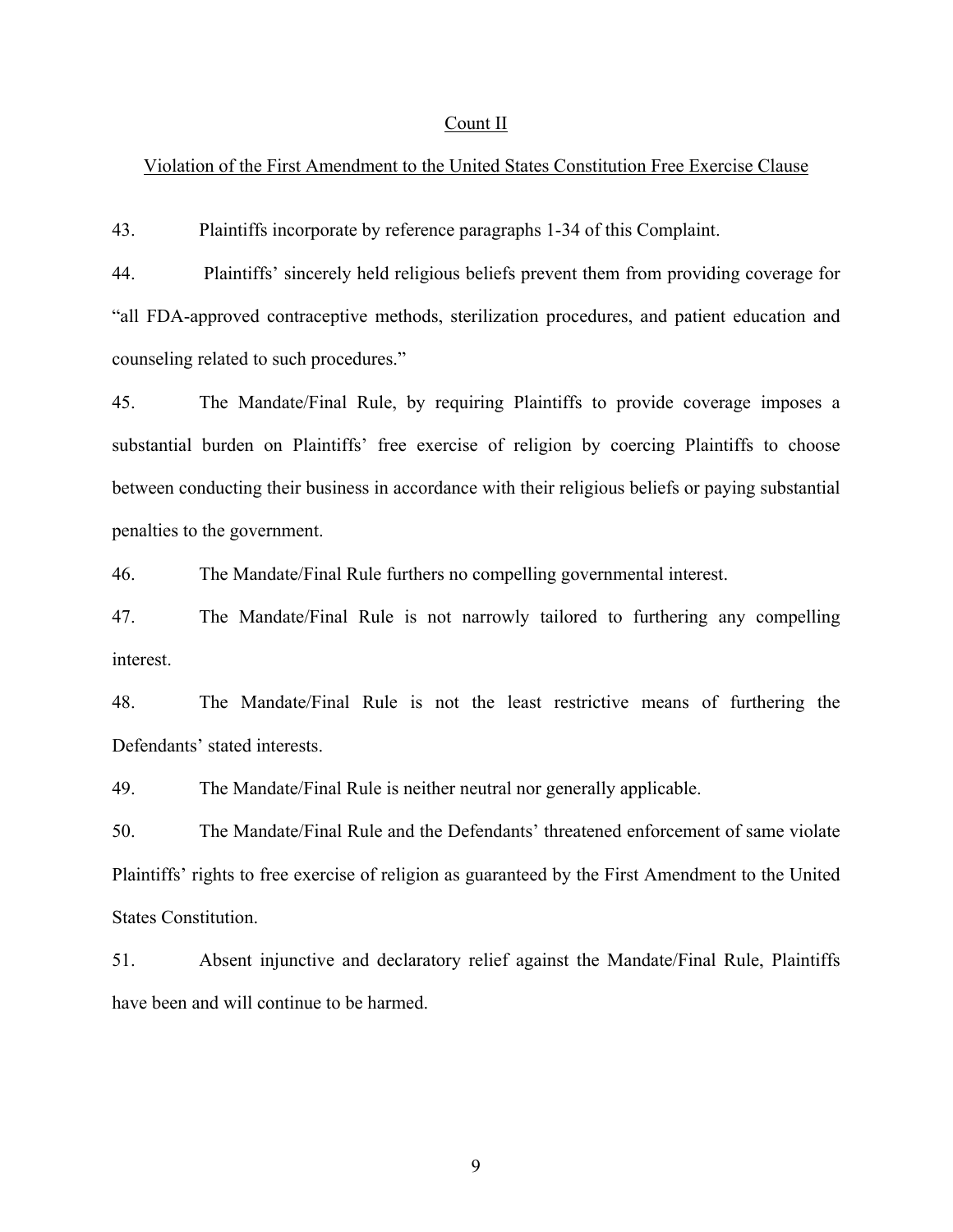#### Count II

## Violation of the First Amendment to the United States Constitution Free Exercise Clause

43. Plaintiffs incorporate by reference paragraphs 1-34 of this Complaint.

44. Plaintiffs' sincerely held religious beliefs prevent them from providing coverage for "all FDA-approved contraceptive methods, sterilization procedures, and patient education and counseling related to such procedures."

45. The Mandate/Final Rule, by requiring Plaintiffs to provide coverage imposes a substantial burden on Plaintiffs' free exercise of religion by coercing Plaintiffs to choose between conducting their business in accordance with their religious beliefs or paying substantial penalties to the government.

46. The Mandate/Final Rule furthers no compelling governmental interest.

47. The Mandate/Final Rule is not narrowly tailored to furthering any compelling interest.

48. The Mandate/Final Rule is not the least restrictive means of furthering the Defendants' stated interests.

49. The Mandate/Final Rule is neither neutral nor generally applicable.

50. The Mandate/Final Rule and the Defendants' threatened enforcement of same violate Plaintiffs' rights to free exercise of religion as guaranteed by the First Amendment to the United States Constitution.

51. Absent injunctive and declaratory relief against the Mandate/Final Rule, Plaintiffs have been and will continue to be harmed.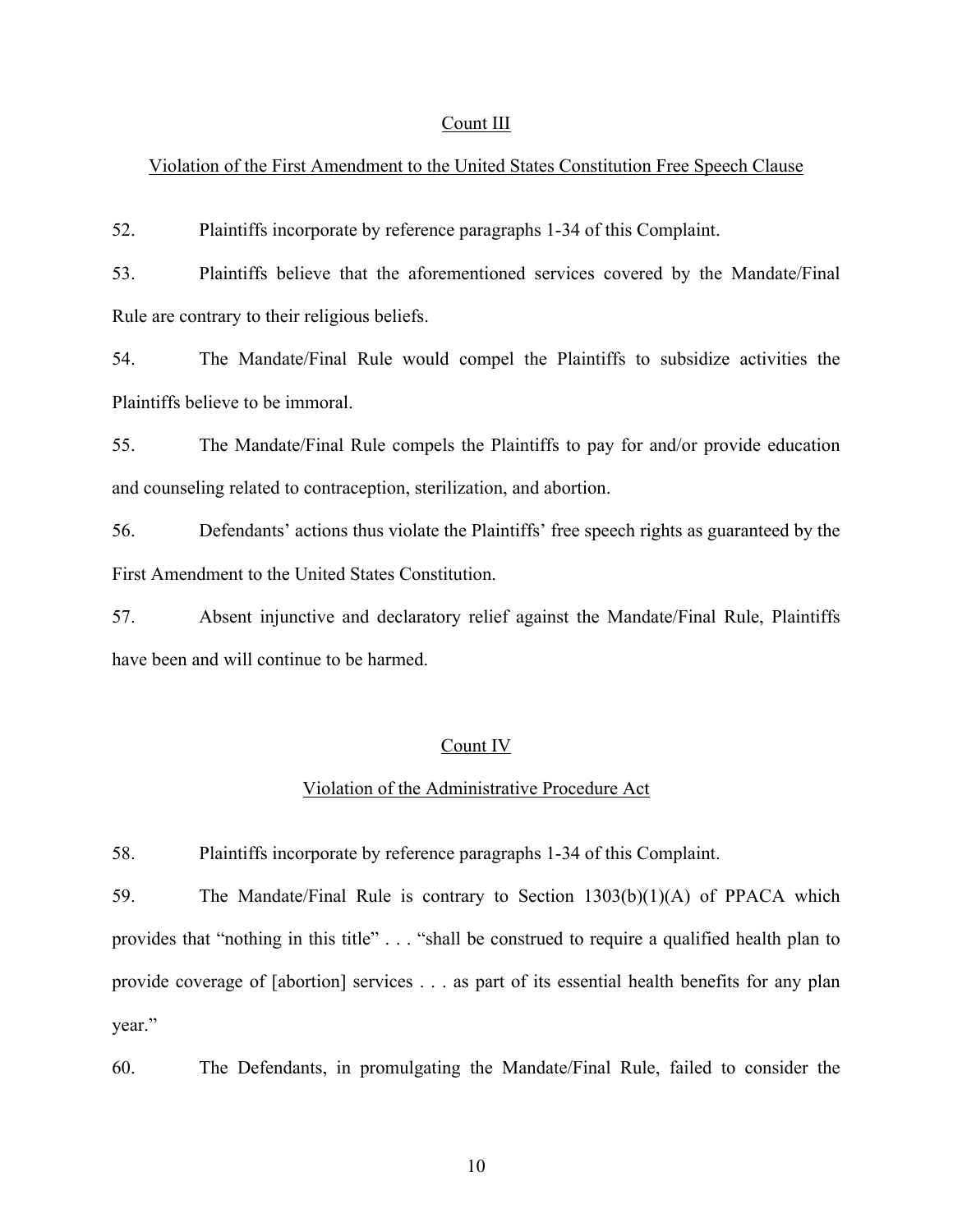### Count III

# Violation of the First Amendment to the United States Constitution Free Speech Clause

52. Plaintiffs incorporate by reference paragraphs 1-34 of this Complaint.

53. Plaintiffs believe that the aforementioned services covered by the Mandate/Final Rule are contrary to their religious beliefs.

54. The Mandate/Final Rule would compel the Plaintiffs to subsidize activities the Plaintiffs believe to be immoral.

55. The Mandate/Final Rule compels the Plaintiffs to pay for and/or provide education and counseling related to contraception, sterilization, and abortion.

56. Defendants' actions thus violate the Plaintiffs' free speech rights as guaranteed by the First Amendment to the United States Constitution.

57. Absent injunctive and declaratory relief against the Mandate/Final Rule, Plaintiffs have been and will continue to be harmed.

## Count IV

# Violation of the Administrative Procedure Act

58. Plaintiffs incorporate by reference paragraphs 1-34 of this Complaint.

59. The Mandate/Final Rule is contrary to Section 1303(b)(1)(A) of PPACA which provides that "nothing in this title" . . . "shall be construed to require a qualified health plan to provide coverage of [abortion] services . . . as part of its essential health benefits for any plan year."

60. The Defendants, in promulgating the Mandate/Final Rule, failed to consider the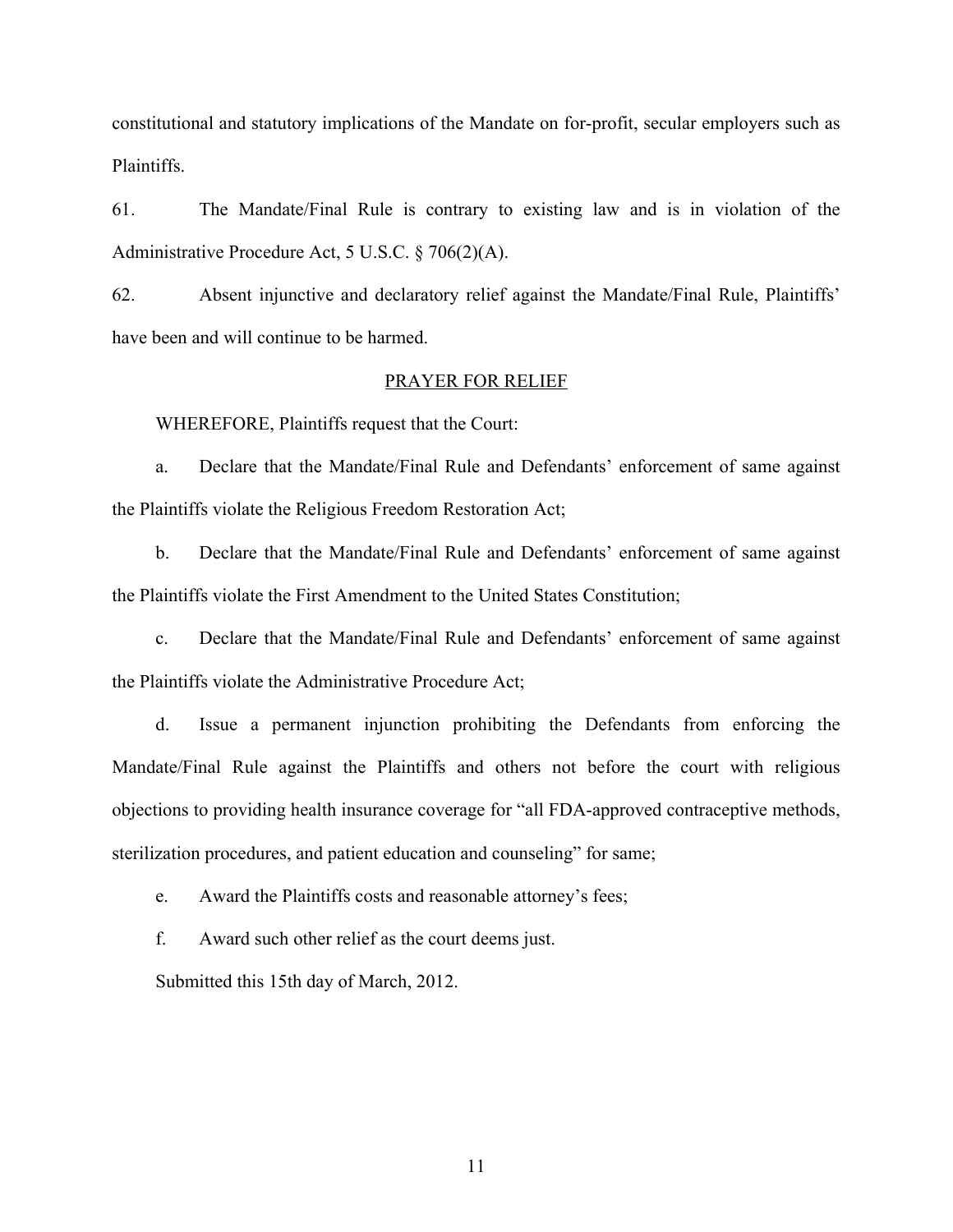constitutional and statutory implications of the Mandate on for-profit, secular employers such as Plaintiffs.

61. The Mandate/Final Rule is contrary to existing law and is in violation of the Administrative Procedure Act, 5 U.S.C. § 706(2)(A).

62. Absent injunctive and declaratory relief against the Mandate/Final Rule, Plaintiffs' have been and will continue to be harmed.

#### PRAYER FOR RELIEF

WHEREFORE, Plaintiffs request that the Court:

a. Declare that the Mandate/Final Rule and Defendants' enforcement of same against the Plaintiffs violate the Religious Freedom Restoration Act;

b. Declare that the Mandate/Final Rule and Defendants' enforcement of same against the Plaintiffs violate the First Amendment to the United States Constitution;

c. Declare that the Mandate/Final Rule and Defendants' enforcement of same against the Plaintiffs violate the Administrative Procedure Act;

d. Issue a permanent injunction prohibiting the Defendants from enforcing the Mandate/Final Rule against the Plaintiffs and others not before the court with religious objections to providing health insurance coverage for "all FDA-approved contraceptive methods, sterilization procedures, and patient education and counseling" for same;

e. Award the Plaintiffs costs and reasonable attorney's fees;

f. Award such other relief as the court deems just.

Submitted this 15th day of March, 2012.